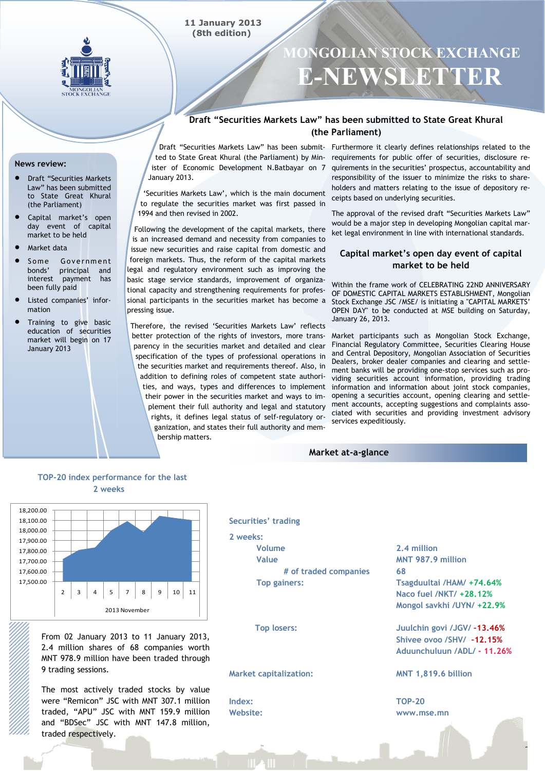

# **MONGOLIAN STOCK EXCHANGE E-NEWSLETTER**

## **Draft "Securities Markets Law" has been submitted to State Great Khural (the Parliament)**

ister of Economic Development N.Batbayar on 7 January 2013.

**11 January 2013 (8th edition)**

"Securities Markets Law", which is the main document to regulate the securities market was first passed in 1994 and then revised in 2002.

Following the development of the capital markets, there is an increased demand and necessity from companies to issue new securities and raise capital from domestic and foreign markets. Thus, the reform of the capital markets legal and regulatory environment such as improving the basic stage service standards, improvement of organizational capacity and strengthening requirements for professional participants in the securities market has become a pressing issue.

Therefore, the revised 'Securities Markets Law' reflects better protection of the rights of investors, more transparency in the securities market and detailed and clear specification of the types of professional operations in the securities market and requirements thereof. Also, in addition to defining roles of competent state authorities, and ways, types and differences to implement their power in the securities market and ways to implement their full authority and legal and statutory rights, it defines legal status of self-regulatory organization, and states their full authority and membership matters.

Draft "Securities Markets Law" has been submit- Furthermore it clearly defines relationships related to the ted to State Great Khural (the Parliament) by Min-requirements for public offer of securities, disclosure requirements in the securities" prospectus, accountability and responsibility of the issuer to minimize the risks to shareholders and matters relating to the issue of depository receipts based on underlying securities.

> The approval of the revised draft "Securities Markets Law" would be a major step in developing Mongolian capital market legal environment in line with international standards.

### **Capital market's open day event of capital market to be held**

Within the frame work of CELEBRATING 22ND ANNIVERSARY OF DOMESTIC CAPITAL MARKETS ESTABLISHMENT, Mongolian Stock Exchange JSC /MSE/ is initiating a "CAPITAL MARKETS" OPEN DAY" to be conducted at MSE building on Saturday, January 26, 2013.

Market participants such as Mongolian Stock Exchange, Financial Regulatory Committee, Securities Clearing House and Central Depository, Mongolian Association of Securities Dealers, broker dealer companies and clearing and settlement banks will be providing one-stop services such as providing securities account information, providing trading information and information about joint stock companies, opening a securities account, opening clearing and settlement accounts, accepting suggestions and complaints associated with securities and providing investment advisory services expeditiously.

#### **Market at-a-glance**

## **TOP-20 index performance for the last 2 weeks**



From 02 January 2013 to 11 January 2013, 2.4 million shares of 68 companies worth MNT 978.9 million have been traded through 9 trading sessions.

The most actively traded stocks by value were "Remicon" JSC with MNT 307.1 million traded, "APU" JSC with MNT 159.9 million and "BDSec" JSC with MNT 147.8 million, traded respectively.

#### **Securities' trading**

**2 weeks: Volume Value # of traded companies Top gainers:**

**Top losers:**

#### **Market capitalization:**

**Index: Website:** **2.4 million MNT 987.9 million 68 Tsagduultai /HAM/ +74.64% Naco fuel /NKT/ +28.12% Mongol savkhi /UYN/ +22.9%**

**Juulchin govi /JGV/ –13.46% Shivee ovoo /SHV/ –12.15% Aduunchuluun /ADL/ - 11.26%**

#### **MNT 1,819.6 billion**

**TOP-20 www.mse.mn**

**News review:** 

- Draft "Securities Markets Law" has been submitted to State Great Khural (the Parliament)
- Capital market"s open day event of capital market to be held
- Market data
- Some Government<br>
bonds' principal and principal and interest payment has been fully paid
- Listed companies' information
- Training to give basic education of securities market will begin on 17 January 2013